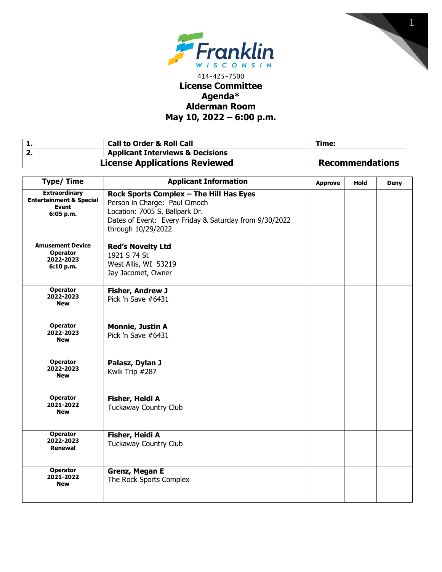



## 414-425-7500 **License Committee Agenda\* Alderman Room May 10, 2022 – 6:00 p.m.**

| <b>Call to Order &amp; Roll Call</b>        | Time:                  |
|---------------------------------------------|------------------------|
| <b>Applicant Interviews &amp; Decisions</b> |                        |
| <b>License Applications Reviewed</b>        | <b>Recommendations</b> |

| <b>Type/Time</b>                                                                        | <b>Applicant Information</b>                                                                                                                                                               | <b>Approve</b> | <b>Hold</b> | <b>Deny</b> |
|-----------------------------------------------------------------------------------------|--------------------------------------------------------------------------------------------------------------------------------------------------------------------------------------------|----------------|-------------|-------------|
| <b>Extraordinary</b><br><b>Entertainment &amp; Special</b><br><b>Event</b><br>6:05 p.m. | Rock Sports Complex - The Hill Has Eyes<br>Person in Charge: Paul Cimoch<br>Location: 7005 S. Ballpark Dr.<br>Dates of Event: Every Friday & Saturday from 9/30/2022<br>through 10/29/2022 |                |             |             |
| <b>Amusement Device</b><br><b>Operator</b><br>2022-2023<br>6:10 p.m.                    | <b>Red's Novelty Ltd</b><br>1921 S 74 St<br>West Allis, WI 53219<br>Jay Jacomet, Owner                                                                                                     |                |             |             |
| <b>Operator</b><br>2022-2023<br><b>New</b>                                              | <b>Fisher, Andrew J</b><br>Pick 'n Save #6431                                                                                                                                              |                |             |             |
| <b>Operator</b><br>2022-2023<br><b>New</b>                                              | <b>Monnie, Justin A</b><br>Pick 'n Save #6431                                                                                                                                              |                |             |             |
| <b>Operator</b><br>2022-2023<br><b>New</b>                                              | Palasz, Dylan J<br>Kwik Trip #287                                                                                                                                                          |                |             |             |
| <b>Operator</b><br>2021-2022<br><b>New</b>                                              | Fisher, Heidi A<br><b>Tuckaway Country Club</b>                                                                                                                                            |                |             |             |
| <b>Operator</b><br>2022-2023<br>Renewal                                                 | Fisher, Heidi A<br><b>Tuckaway Country Club</b>                                                                                                                                            |                |             |             |
| Operator<br>2021-2022<br><b>New</b>                                                     | <b>Grenz, Megan E</b><br>The Rock Sports Complex                                                                                                                                           |                |             |             |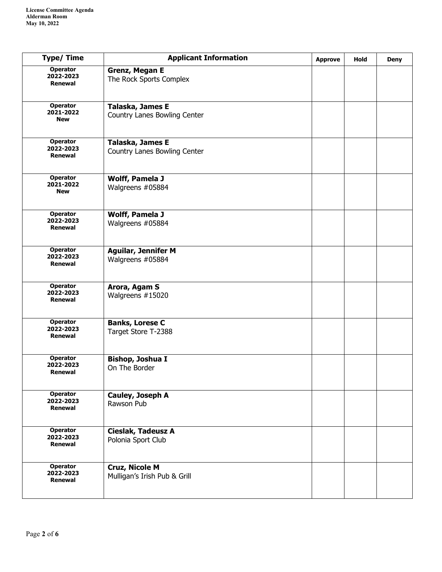| <b>Type/Time</b>                               | <b>Applicant Information</b>                          | <b>Approve</b> | Hold | <b>Deny</b> |
|------------------------------------------------|-------------------------------------------------------|----------------|------|-------------|
| <b>Operator</b><br>2022-2023<br><b>Renewal</b> | <b>Grenz, Megan E</b><br>The Rock Sports Complex      |                |      |             |
| <b>Operator</b><br>2021-2022<br><b>New</b>     | Talaska, James E<br>Country Lanes Bowling Center      |                |      |             |
| <b>Operator</b><br>2022-2023<br>Renewal        | Talaska, James E<br>Country Lanes Bowling Center      |                |      |             |
| <b>Operator</b><br>2021-2022<br><b>New</b>     | <b>Wolff, Pamela J</b><br>Walgreens #05884            |                |      |             |
| <b>Operator</b><br>2022-2023<br>Renewal        | Wolff, Pamela J<br>Walgreens #05884                   |                |      |             |
| <b>Operator</b><br>2022-2023<br>Renewal        | <b>Aguilar, Jennifer M</b><br>Walgreens #05884        |                |      |             |
| <b>Operator</b><br>2022-2023<br><b>Renewal</b> | Arora, Agam S<br>Walgreens #15020                     |                |      |             |
| Operator<br>2022-2023<br>Renewal               | <b>Banks, Lorese C</b><br>Target Store T-2388         |                |      |             |
| <b>Operator</b><br>2022-2023<br><b>Renewal</b> | Bishop, Joshua I<br>On The Border                     |                |      |             |
| <b>Operator</b><br>2022-2023<br>Renewal        | Cauley, Joseph A<br>Rawson Pub                        |                |      |             |
| Operator<br>2022-2023<br>Renewal               | <b>Cieslak, Tadeusz A</b><br>Polonia Sport Club       |                |      |             |
| <b>Operator</b><br>2022-2023<br>Renewal        | <b>Cruz, Nicole M</b><br>Mulligan's Irish Pub & Grill |                |      |             |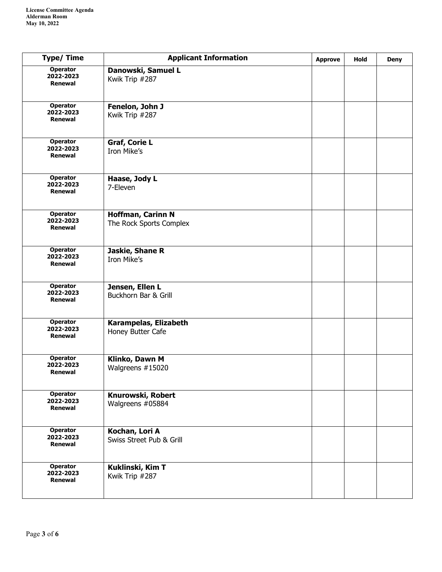| <b>Type/Time</b>                               | <b>Applicant Information</b>                        | <b>Approve</b> | <b>Hold</b> | <b>Deny</b> |
|------------------------------------------------|-----------------------------------------------------|----------------|-------------|-------------|
| <b>Operator</b><br>2022-2023<br>Renewal        | Danowski, Samuel L<br>Kwik Trip #287                |                |             |             |
| <b>Operator</b><br>2022-2023<br>Renewal        | Fenelon, John J<br>Kwik Trip #287                   |                |             |             |
| <b>Operator</b><br>2022-2023<br>Renewal        | <b>Graf, Corie L</b><br>Iron Mike's                 |                |             |             |
| <b>Operator</b><br>2022-2023<br><b>Renewal</b> | Haase, Jody L<br>7-Eleven                           |                |             |             |
| <b>Operator</b><br>2022-2023<br>Renewal        | <b>Hoffman, Carinn N</b><br>The Rock Sports Complex |                |             |             |
| <b>Operator</b><br>2022-2023<br><b>Renewal</b> | Jaskie, Shane R<br>Iron Mike's                      |                |             |             |
| <b>Operator</b><br>2022-2023<br>Renewal        | Jensen, Ellen L<br>Buckhorn Bar & Grill             |                |             |             |
| <b>Operator</b><br>2022-2023<br>Renewal        | Karampelas, Elizabeth<br>Honey Butter Cafe          |                |             |             |
| <b>Operator</b><br>2022-2023<br>Renewal        | Klinko, Dawn M<br>Walgreens #15020                  |                |             |             |
| <b>Operator</b><br>2022-2023<br>Renewal        | Knurowski, Robert<br>Walgreens #05884               |                |             |             |
| <b>Operator</b><br>2022-2023<br>Renewal        | Kochan, Lori A<br>Swiss Street Pub & Grill          |                |             |             |
| <b>Operator</b><br>2022-2023<br>Renewal        | Kuklinski, Kim T<br>Kwik Trip #287                  |                |             |             |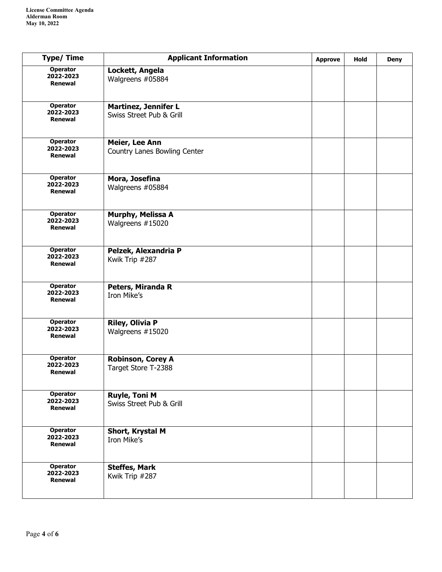| <b>Type/Time</b>                               | <b>Applicant Information</b>                            | <b>Approve</b> | <b>Hold</b> | <b>Deny</b> |
|------------------------------------------------|---------------------------------------------------------|----------------|-------------|-------------|
| <b>Operator</b><br>2022-2023<br><b>Renewal</b> | Lockett, Angela<br>Walgreens #05884                     |                |             |             |
| <b>Operator</b><br>2022-2023<br>Renewal        | <b>Martinez, Jennifer L</b><br>Swiss Street Pub & Grill |                |             |             |
| <b>Operator</b><br>2022-2023<br>Renewal        | Meier, Lee Ann<br>Country Lanes Bowling Center          |                |             |             |
| <b>Operator</b><br>2022-2023<br><b>Renewal</b> | Mora, Josefina<br>Walgreens #05884                      |                |             |             |
| <b>Operator</b><br>2022-2023<br>Renewal        | Murphy, Melissa A<br>Walgreens #15020                   |                |             |             |
| <b>Operator</b><br>2022-2023<br>Renewal        | Pelzek, Alexandria P<br>Kwik Trip #287                  |                |             |             |
| <b>Operator</b><br>2022-2023<br><b>Renewal</b> | Peters, Miranda R<br>Iron Mike's                        |                |             |             |
| Operator<br>2022-2023<br>Renewal               | <b>Riley, Olivia P</b><br>Walgreens #15020              |                |             |             |
| <b>Operator</b><br>2022-2023<br>Renewal        | Robinson, Corey A<br>Target Store T-2388                |                |             |             |
| Operator<br>2022-2023<br>Renewal               | <b>Ruyle, Toni M</b><br>Swiss Street Pub & Grill        |                |             |             |
| Operator<br>2022-2023<br>Renewal               | Short, Krystal M<br>Iron Mike's                         |                |             |             |
| <b>Operator</b><br>2022-2023<br>Renewal        | <b>Steffes, Mark</b><br>Kwik Trip #287                  |                |             |             |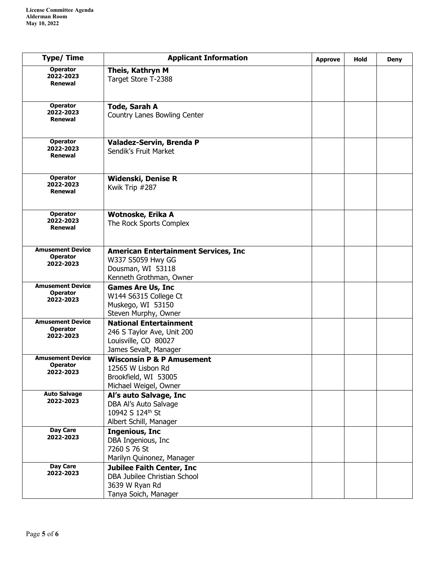| <b>Type/Time</b>                                        | <b>Applicant Information</b>                                                                                     | <b>Approve</b> | Hold | <b>Deny</b> |
|---------------------------------------------------------|------------------------------------------------------------------------------------------------------------------|----------------|------|-------------|
| <b>Operator</b><br>2022-2023<br>Renewal                 | Theis, Kathryn M<br>Target Store T-2388                                                                          |                |      |             |
| <b>Operator</b><br>2022-2023<br>Renewal                 | <b>Tode, Sarah A</b><br>Country Lanes Bowling Center                                                             |                |      |             |
| <b>Operator</b><br>2022-2023<br>Renewal                 | Valadez-Servin, Brenda P<br>Sendik's Fruit Market                                                                |                |      |             |
| <b>Operator</b><br>2022-2023<br>Renewal                 | <b>Widenski, Denise R</b><br>Kwik Trip #287                                                                      |                |      |             |
| <b>Operator</b><br>2022-2023<br>Renewal                 | Wotnoske, Erika A<br>The Rock Sports Complex                                                                     |                |      |             |
| <b>Amusement Device</b><br><b>Operator</b><br>2022-2023 | <b>American Entertainment Services, Inc</b><br>W337 S5059 Hwy GG<br>Dousman, WI 53118<br>Kenneth Grothman, Owner |                |      |             |
| <b>Amusement Device</b><br><b>Operator</b><br>2022-2023 | <b>Games Are Us, Inc</b><br>W144 S6315 College Ct<br>Muskego, WI 53150<br>Steven Murphy, Owner                   |                |      |             |
| <b>Amusement Device</b><br><b>Operator</b><br>2022-2023 | <b>National Entertainment</b><br>246 S Taylor Ave, Unit 200<br>Louisville, CO 80027<br>James Sevalt, Manager     |                |      |             |
| <b>Amusement Device</b><br><b>Operator</b><br>2022-2023 | <b>Wisconsin P &amp; P Amusement</b><br>12565 W Lisbon Rd<br>Brookfield, WI 53005<br>Michael Weigel, Owner       |                |      |             |
| <b>Auto Salvage</b><br>2022-2023                        | Al's auto Salvage, Inc<br>DBA Al's Auto Salvage<br>10942 S 124th St<br>Albert Schill, Manager                    |                |      |             |
| Day Care<br>2022-2023                                   | <b>Ingenious, Inc.</b><br>DBA Ingenious, Inc<br>7260 S 76 St<br>Marilyn Quinonez, Manager                        |                |      |             |
| Day Care<br>2022-2023                                   | <b>Jubilee Faith Center, Inc</b><br>DBA Jubilee Christian School<br>3639 W Ryan Rd<br>Tanya Soich, Manager       |                |      |             |